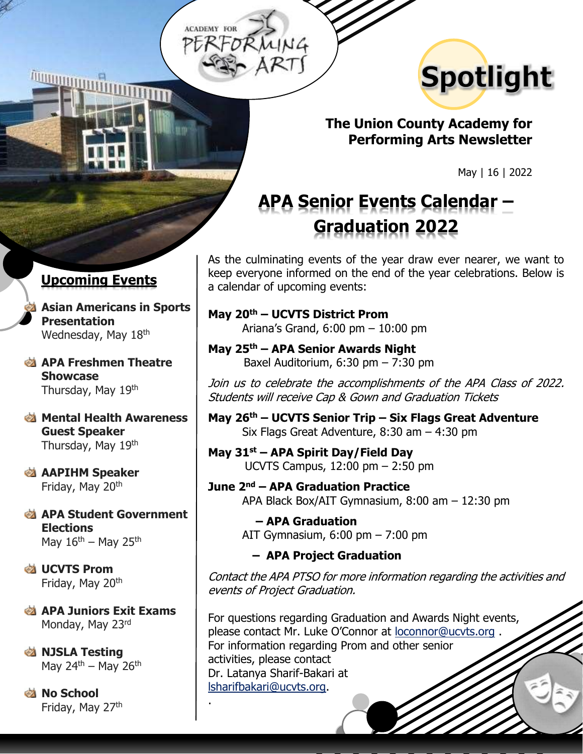**ACADEMY FOR** 



### **The Union County Academy for Performing Arts Newsletter**

May | 16 | 2022

# **APA Senior Events Calendar – Graduation 2022**

As the culminating events of the year draw ever nearer, we want to keep everyone informed on the end of the year celebrations. Below is a calendar of upcoming events:

#### **May 20th – UCVTS District Prom** Ariana's Grand, 6:00 pm – 10:00 pm

**May 25th – APA Senior Awards Night** Baxel Auditorium, 6:30 pm – 7:30 pm

Join us to celebrate the accomplishments of the APA Class of 2022. Students will receive Cap & Gown and Graduation Tickets

**May 26th – UCVTS Senior Trip – Six Flags Great Adventure** Six Flags Great Adventure, 8:30 am – 4:30 pm

**May 31st – APA Spirit Day/Field Day** UCVTS Campus, 12:00 pm – 2:50 pm

**June 2nd – APA Graduation Practice**  APA Black Box/AIT Gymnasium, 8:00 am – 12:30 pm

> **– APA Graduation**  AIT Gymnasium, 6:00 pm – 7:00 pm

#### **– APA Project Graduation**

Contact the APA PTSO for more information regarding the activities and events of Project Graduation.

For questions regarding Graduation and Awards Night events, please contact Mr. Luke O'Connor at [loconnor@ucvts.org](mailto:loconnor@ucvts.org) . For information regarding Prom and other senior activities, please contact Dr. Latanya Sharif-Bakari at [lsharifbakari@ucvts.org.](mailto:lsharifbakari@ucvts.org)

### **Upcoming Events**

+

**Asian Americans in Sports Presentation** Wednesday, May 18th

**APA Freshmen Theatre Showcase** Thursday, May 19th

**Mental Health Awareness Guest Speaker** Thursday, May 19th

**AAPIHM Speaker** Friday, May 20<sup>th</sup>

**APA Student Government Elections** May  $16<sup>th</sup>$  – May 25<sup>th</sup>

**<u><b>&**</u> UCVTS Prom Friday, May 20<sup>th</sup>

**APA Juniors Exit Exams** Monday, May 23rd

.

**EXALGE IN STRAIN** May 24<sup>th</sup> – May 26<sup>th</sup>

**No School** Friday, May 27th